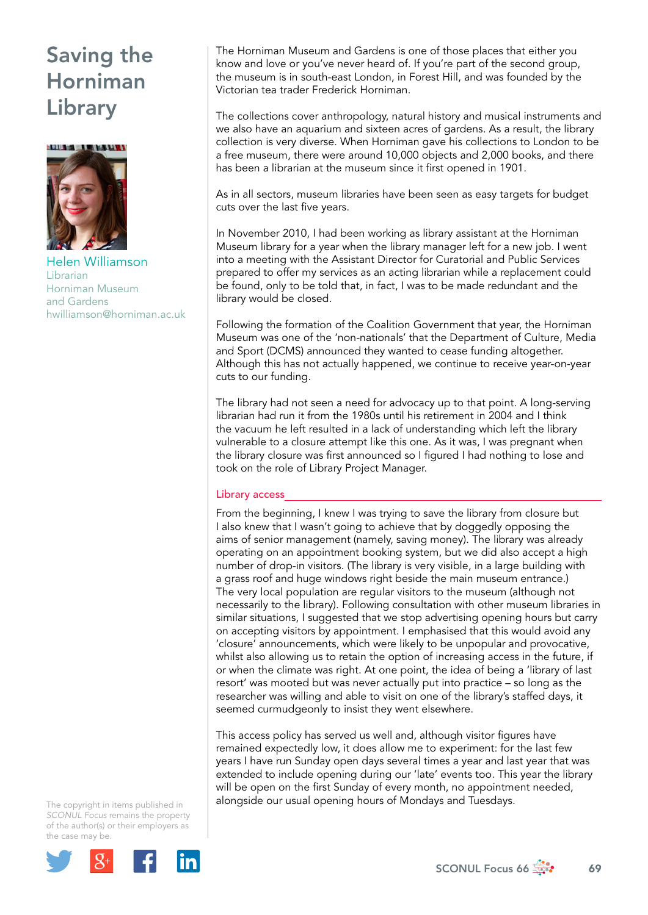

Helen Williamson Librarian Horniman Museum and Gardens [hwilliamson@horniman.ac.uk](mailto:hwilliamson@horniman.ac.uk) 

The Horniman Museum and Gardens is one of those places that either you know and love or you've never heard of. If you're part of the second group, the museum is in south-east London, in Forest Hill, and was founded by the Victorian tea trader Frederick Horniman.

The collections cover anthropology, natural history and musical instruments and we also have an aquarium and sixteen acres of gardens. As a result, the library collection is very diverse. When Horniman gave his collections to London to be a free museum, there were around 10,000 objects and 2,000 books, and there has been a librarian at the museum since it first opened in 1901.

As in all sectors, museum libraries have been seen as easy targets for budget cuts over the last five years.

In November 2010, I had been working as library assistant at the Horniman Museum library for a year when the library manager left for a new job. I went into a meeting with the Assistant Director for Curatorial and Public Services prepared to offer my services as an acting librarian while a replacement could be found, only to be told that, in fact, I was to be made redundant and the library would be closed.

Following the formation of the Coalition Government that year, the Horniman Museum was one of the 'non-nationals' that the Department of Culture, Media and Sport (DCMS) announced they wanted to cease funding altogether. Although this has not actually happened, we continue to receive year-on-year cuts to our funding.

The library had not seen a need for advocacy up to that point. A long-serving librarian had run it from the 1980s until his retirement in 2004 and I think the vacuum he left resulted in a lack of understanding which left the library vulnerable to a closure attempt like this one. As it was, I was pregnant when the library closure was first announced so I figured I had nothing to lose and took on the role of Library Project Manager.

### Library access

From the beginning, I knew I was trying to save the library from closure but I also knew that I wasn't going to achieve that by doggedly opposing the aims of senior management (namely, saving money). The library was already operating on an appointment booking system, but we did also accept a high number of drop-in visitors. (The library is very visible, in a large building with a grass roof and huge windows right beside the main museum entrance.) The very local population are regular visitors to the museum (although not necessarily to the library). Following consultation with other museum libraries in similar situations, I suggested that we stop advertising opening hours but carry on accepting visitors by appointment. I emphasised that this would avoid any 'closure' announcements, which were likely to be unpopular and provocative, whilst also allowing us to retain the option of increasing access in the future, if or when the climate was right. At one point, the idea of being a 'library of last resort' was mooted but was never actually put into practice – so long as the researcher was willing and able to visit on one of the library's staffed days, it seemed curmudgeonly to insist they went elsewhere.

This access policy has served us well and, although visitor figures have remained expectedly low, it does allow me to experiment: for the last few years I have run Sunday open days several times a year and last year that was extended to include opening during our 'late' events too. This year the library will be open on the first Sunday of every month, no appointment needed, alongside our usual opening hours of Mondays and Tuesdays.

The copyright in items published in *SCONUL Focus* remains the property of the author(s) or their employers as the case may be.



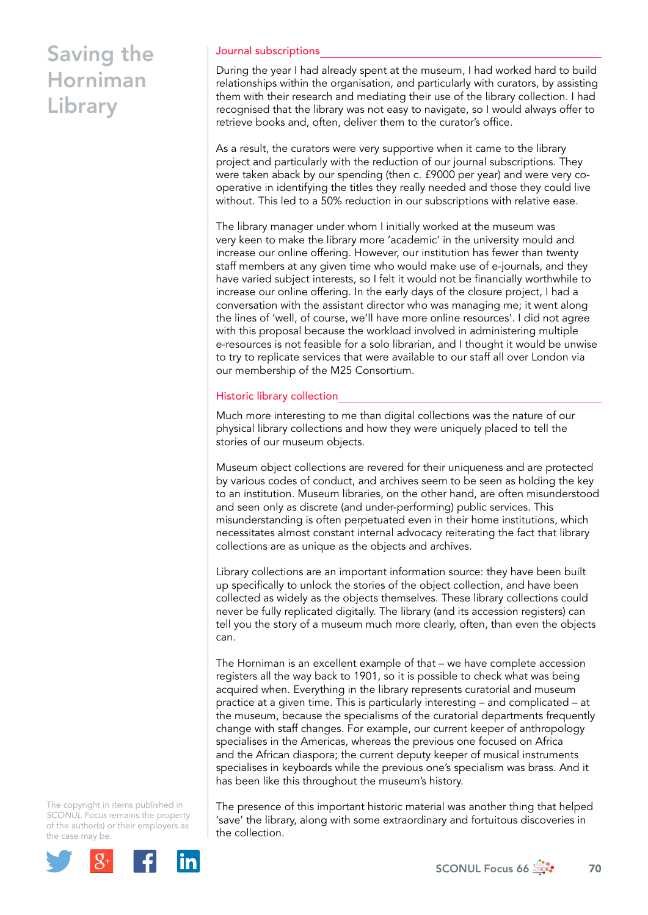#### Journal subscriptions

During the year I had already spent at the museum, I had worked hard to build relationships within the organisation, and particularly with curators, by assisting them with their research and mediating their use of the library collection. I had recognised that the library was not easy to navigate, so I would always offer to retrieve books and, often, deliver them to the curator's office.

As a result, the curators were very supportive when it came to the library project and particularly with the reduction of our journal subscriptions. They were taken aback by our spending (then c. £9000 per year) and were very cooperative in identifying the titles they really needed and those they could live without. This led to a 50% reduction in our subscriptions with relative ease.

The library manager under whom I initially worked at the museum was very keen to make the library more 'academic' in the university mould and increase our online offering. However, our institution has fewer than twenty staff members at any given time who would make use of e-journals, and they have varied subject interests, so I felt it would not be financially worthwhile to increase our online offering. In the early days of the closure project, I had a conversation with the assistant director who was managing me; it went along the lines of 'well, of course, we'll have more online resources'. I did not agree with this proposal because the workload involved in administering multiple e-resources is not feasible for a solo librarian, and I thought it would be unwise to try to replicate services that were available to our staff all over London via our membership of the M25 Consortium.

#### Historic library collection

Much more interesting to me than digital collections was the nature of our physical library collections and how they were uniquely placed to tell the stories of our museum objects.

Museum object collections are revered for their uniqueness and are protected by various codes of conduct, and archives seem to be seen as holding the key to an institution. Museum libraries, on the other hand, are often misunderstood and seen only as discrete (and under-performing) public services. This misunderstanding is often perpetuated even in their home institutions, which necessitates almost constant internal advocacy reiterating the fact that library collections are as unique as the objects and archives.

Library collections are an important information source: they have been built up specifically to unlock the stories of the object collection, and have been collected as widely as the objects themselves. These library collections could never be fully replicated digitally. The library (and its accession registers) can tell you the story of a museum much more clearly, often, than even the objects can.

The Horniman is an excellent example of that – we have complete accession registers all the way back to 1901, so it is possible to check what was being acquired when. Everything in the library represents curatorial and museum practice at a given time. This is particularly interesting – and complicated – at the museum, because the specialisms of the curatorial departments frequently change with staff changes. For example, our current keeper of anthropology specialises in the Americas, whereas the previous one focused on Africa and the African diaspora; the current deputy keeper of musical instruments specialises in keyboards while the previous one's specialism was brass. And it has been like this throughout the museum's history.

The copyright in items published in *SCONUL Focus* remains the property of the author(s) or their employers as the case may be.



The presence of this important historic material was another thing that helped 'save' the library, along with some extraordinary and fortuitous discoveries in the collection.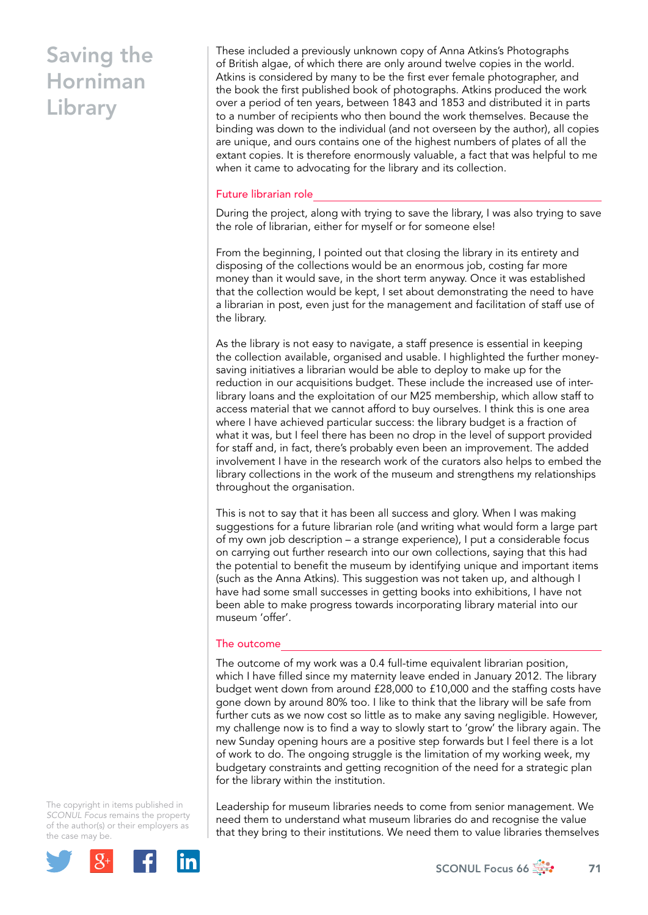These included a previously unknown copy of Anna Atkins's Photographs of British algae, of which there are only around twelve copies in the world. Atkins is considered by many to be the first ever female photographer, and the book the first published book of photographs. Atkins produced the work over a period of ten years, between 1843 and 1853 and distributed it in parts to a number of recipients who then bound the work themselves. Because the binding was down to the individual (and not overseen by the author), all copies are unique, and ours contains one of the highest numbers of plates of all the extant copies. It is therefore enormously valuable, a fact that was helpful to me when it came to advocating for the library and its collection.

#### Future librarian role

During the project, along with trying to save the library, I was also trying to save the role of librarian, either for myself or for someone else!

From the beginning, I pointed out that closing the library in its entirety and disposing of the collections would be an enormous job, costing far more money than it would save, in the short term anyway. Once it was established that the collection would be kept, I set about demonstrating the need to have a librarian in post, even just for the management and facilitation of staff use of the library.

As the library is not easy to navigate, a staff presence is essential in keeping the collection available, organised and usable. I highlighted the further moneysaving initiatives a librarian would be able to deploy to make up for the reduction in our acquisitions budget. These include the increased use of interlibrary loans and the exploitation of our M25 membership, which allow staff to access material that we cannot afford to buy ourselves. I think this is one area where I have achieved particular success: the library budget is a fraction of what it was, but I feel there has been no drop in the level of support provided for staff and, in fact, there's probably even been an improvement. The added involvement I have in the research work of the curators also helps to embed the library collections in the work of the museum and strengthens my relationships throughout the organisation.

This is not to say that it has been all success and glory. When I was making suggestions for a future librarian role (and writing what would form a large part of my own job description – a strange experience), I put a considerable focus on carrying out further research into our own collections, saying that this had the potential to benefit the museum by identifying unique and important items (such as the Anna Atkins). This suggestion was not taken up, and although I have had some small successes in getting books into exhibitions, I have not been able to make progress towards incorporating library material into our museum 'offer'.

### The outcome

The outcome of my work was a 0.4 full-time equivalent librarian position, which I have filled since my maternity leave ended in January 2012. The library budget went down from around £28,000 to £10,000 and the staffing costs have gone down by around 80% too. I like to think that the library will be safe from further cuts as we now cost so little as to make any saving negligible. However, my challenge now is to find a way to slowly start to 'grow' the library again. The new Sunday opening hours are a positive step forwards but I feel there is a lot of work to do. The ongoing struggle is the limitation of my working week, my budgetary constraints and getting recognition of the need for a strategic plan for the library within the institution.

The copyright in items published in *SCONUL Focus* remains the property of the author(s) or their employers as the case may be.



Leadership for museum libraries needs to come from senior management. We need them to understand what museum libraries do and recognise the value that they bring to their institutions. We need them to value libraries themselves